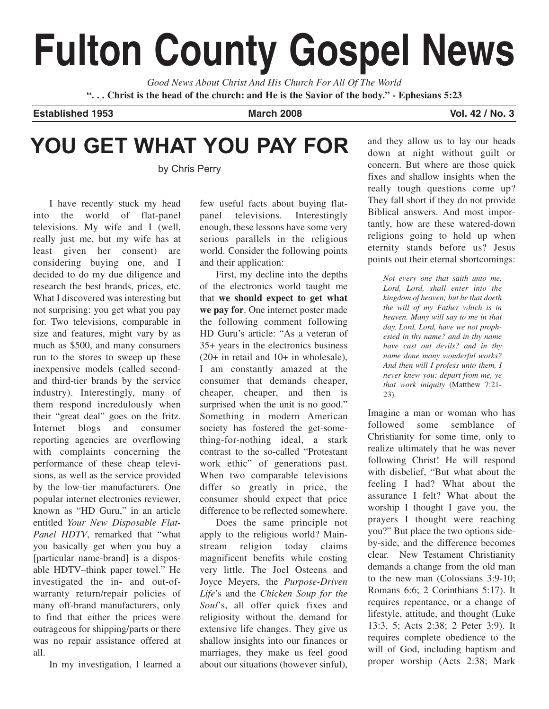# **Fulton County Gospel News**

*Good News About Christ And His Church For All Of The World* **". . . Christ is the head of the church: and He is the Savior of the body." - Ephesians 5:23**

**Established 1953 March 2008 Vol. 42 / No. 3**

# **YOU GET WHAT YOU PAY FOR**

by Chris Perry

I have recently stuck my head into the world of flat-panel televisions. My wife and I (well, really just me, but my wife has at least given her consent) are considering buying one, and I decided to do my due diligence and research the best brands, prices, etc. What I discovered was interesting but not surprising: you get what you pay for. Two televisions, comparable in size and features, might vary by as much as \$500, and many consumers run to the stores to sweep up these inexpensive models (called secondand third-tier brands by the service industry). Interestingly, many of them respond incredulously when their "great deal" goes on the fritz. Internet blogs and consumer reporting agencies are overflowing with complaints concerning the performance of these cheap televisions, as well as the service provided by the low-tier manufacturers. One popular internet electronics reviewer, known as "HD Guru," in an article entitled *Your New Disposable Flat-Panel HDTV*, remarked that "what you basically get when you buy a [particular name-brand] is a disposable HDTV–think paper towel." He investigated the in- and out-ofwarranty return/repair policies of many off-brand manufacturers, only to find that either the prices were outrageous for shipping/parts or there was no repair assistance offered at all.

In my investigation, I learned a

few useful facts about buying flatpanel televisions. Interestingly enough, these lessons have some very serious parallels in the religious world. Consider the following points and their application:

First, my decline into the depths of the electronics world taught me that **we should expect to get what we pay for**. One internet poster made the following comment following HD Guru's article: "As a veteran of 35+ years in the electronics business (20+ in retail and 10+ in wholesale), I am constantly amazed at the consumer that demands cheaper, cheaper, cheaper, and then is surprised when the unit is no good." Something in modern American society has fostered the get-something-for-nothing ideal, a stark contrast to the so-called "Protestant work ethic" of generations past. When two comparable televisions differ so greatly in price, the consumer should expect that price difference to be reflected somewhere.

Does the same principle not apply to the religious world? Mainstream religion today claims magnificent benefits while costing very little. The Joel Osteens and Joyce Meyers, the *Purpose-Driven Life*'s and the *Chicken Soup for the Soul*'s, all offer quick fixes and religiosity without the demand for extensive life changes. They give us shallow insights into our finances or marriages, they make us feel good about our situations (however sinful),

and they allow us to lay our heads down at night without guilt or concern. But where are those quick fixes and shallow insights when the really tough questions come up? They fall short if they do not provide Biblical answers. And most importantly, how are these watered-down religions going to hold up when eternity stands before us? Jesus points out their eternal shortcomings:

*Not every one that saith unto me, Lord, Lord, shall enter into the kingdom of heaven; but he that doeth the will of my Father which is in heaven. Many will say to me in that day, Lord, Lord, have we not prophesied in thy name? and in thy name have cast out devils? and in thy name done many wonderful works? And then will I profess unto them, I never knew you: depart from me, ye that work iniquity* (Matthew 7:21- 23).

Imagine a man or woman who has followed some semblance of Christianity for some time, only to realize ultimately that he was never following Christ! He will respond with disbelief, "But what about the feeling I had? What about the assurance I felt? What about the worship I thought I gave you, the prayers I thought were reaching you?" But place the two options sideby-side, and the difference becomes clear. New Testament Christianity demands a change from the old man to the new man (Colossians 3:9-10; Romans 6:6; 2 Corinthians 5:17). It requires repentance, or a change of lifestyle, attitude, and thought (Luke 13:3, 5; Acts 2:38; 2 Peter 3:9). It requires complete obedience to the will of God, including baptism and proper worship (Acts 2:38; Mark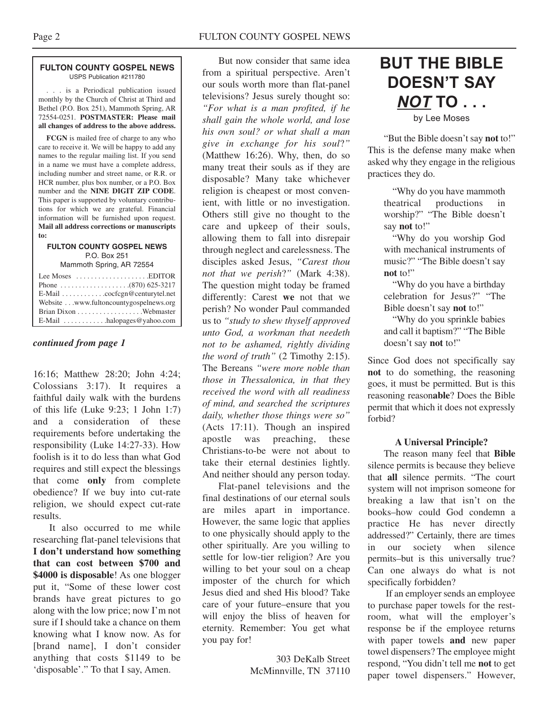#### **FULTON COUNTY GOSPEL NEWS** USPS Publication #211780

. . . is a Periodical publication issued monthly by the Church of Christ at Third and Bethel (P.O. Box 251), Mammoth Spring, AR 72554-0251. **POSTMASTER: Please mail all changes of address to the above address.**

**FCGN** is mailed free of charge to any who care to receive it. We will be happy to add any names to the regular mailing list. If you send in a name we must have a complete address, including number and street name, or R.R. or HCR number, plus box number, or a P.O. Box number and the **NINE DIGIT ZIP CODE**. This paper is supported by voluntary contributions for which we are grateful. Financial information will be furnished upon request. **Mail all address corrections or manuscripts to:**

## **FULTON COUNTY GOSPEL NEWS** P.O. Box 251

Mammoth Spring, AR 72554

| Lee Moses $\dots \dots \dots \dots \dots$ . EDITOR     |
|--------------------------------------------------------|
|                                                        |
| E-Mail cocfcgn@centurytel.net                          |
| Website www.fultoncountygospelnews.org                 |
|                                                        |
| $E$ -Mail $\ldots \ldots \ldots$ halopages @ vahoo.com |

# *continued from page 1*

16:16; Matthew 28:20; John 4:24; Colossians 3:17). It requires a faithful daily walk with the burdens of this life (Luke 9:23; 1 John 1:7) and a consideration of these requirements before undertaking the responsibility (Luke 14:27-33). How foolish is it to do less than what God requires and still expect the blessings that come **only** from complete obedience? If we buy into cut-rate religion, we should expect cut-rate results.

It also occurred to me while researching flat-panel televisions that **I don't understand how something that can cost between \$700 and \$4000 is disposable**! As one blogger put it, "Some of these lower cost brands have great pictures to go along with the low price; now I'm not sure if I should take a chance on them knowing what I know now. As for [brand name], I don't consider anything that costs \$1149 to be 'disposable'." To that I say, Amen.

But now consider that same idea from a spiritual perspective. Aren't our souls worth more than flat-panel televisions? Jesus surely thought so: *"For what is a man profited, if he shall gain the whole world, and lose his own soul? or what shall a man give in exchange for his soul*?*"* (Matthew 16:26). Why, then, do so many treat their souls as if they are disposable? Many take whichever religion is cheapest or most convenient, with little or no investigation. Others still give no thought to the care and upkeep of their souls, allowing them to fall into disrepair through neglect and carelessness. The disciples asked Jesus, *"Carest thou not that we perish*?*"* (Mark 4:38). The question might today be framed differently: Carest **we** not that we perish? No wonder Paul commanded us to *"study to shew thyself approved unto God, a workman that needeth not to be ashamed, rightly dividing the word of truth"* (2 Timothy 2:15). The Bereans *"were more noble than those in Thessalonica, in that they received the word with all readiness of mind, and searched the scriptures daily, whether those things were so"* (Acts 17:11). Though an inspired apostle was preaching, these Christians-to-be were not about to take their eternal destinies lightly. And neither should any person today.

Flat-panel televisions and the final destinations of our eternal souls are miles apart in importance. However, the same logic that applies to one physically should apply to the other spiritually. Are you willing to settle for low-tier religion? Are you willing to bet your soul on a cheap imposter of the church for which Jesus died and shed His blood? Take care of your future–ensure that you will enjoy the bliss of heaven for eternity. Remember: You get what you pay for!

> 303 DeKalb Street McMinnville, TN 37110

# **BUT THE BIBLE DOESN'T SAY** *NOT* **TO . . .** by Lee Moses

"But the Bible doesn't say **not** to!" This is the defense many make when asked why they engage in the religious practices they do.

"Why do you have mammoth theatrical productions in worship?" "The Bible doesn't say **not** to!"

"Why do you worship God with mechanical instruments of music?" "The Bible doesn't say **not** to!"

"Why do you have a birthday celebration for Jesus?" "The Bible doesn't say **not** to!"

"Why do you sprinkle babies and call it baptism?" "The Bible doesn't say **not** to!"

Since God does not specifically say **not** to do something, the reasoning goes, it must be permitted. But is this reasoning reason**able**? Does the Bible permit that which it does not expressly forbid?

## **A Universal Principle?**

The reason many feel that **Bible** silence permits is because they believe that **all** silence permits. "The court system will not imprison someone for breaking a law that isn't on the books–how could God condemn a practice He has never directly addressed?" Certainly, there are times in our society when silence permits–but is this universally true? Can one always do what is not specifically forbidden?

If an employer sends an employee to purchase paper towels for the restroom, what will the employer's response be if the employee returns with paper towels **and** new paper towel dispensers? The employee might respond, "You didn't tell me **not** to get paper towel dispensers." However,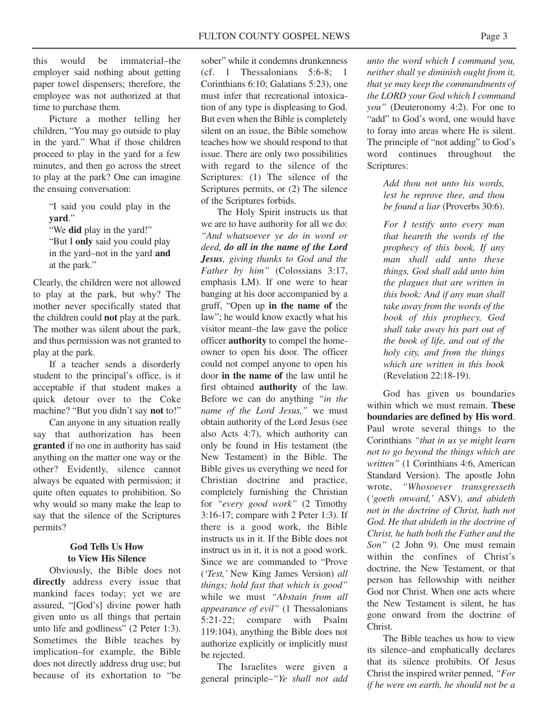this would be immaterial–the employer said nothing about getting paper towel dispensers; therefore, the employee was not authorized at that time to purchase them.

Picture a mother telling her children, "You may go outside to play in the yard." What if those children proceed to play in the yard for a few minutes, and then go across the street to play at the park? One can imagine the ensuing conversation:

> "I said you could play in the **yard**."

"We **did** play in the yard!"

"But I **only** said you could play in the yard–not in the yard **and** at the park."

Clearly, the children were not allowed to play at the park, but why? The mother never specifically stated that the children could **not** play at the park. The mother was silent about the park, and thus permission was not granted to play at the park.

If a teacher sends a disorderly student to the principal's office, is it acceptable if that student makes a quick detour over to the Coke machine? "But you didn't say **not** to!"

Can anyone in any situation really say that authorization has been **granted** if no one in authority has said anything on the matter one way or the other? Evidently, silence cannot always be equated with permission; it quite often equates to prohibition. So why would so many make the leap to say that the silence of the Scriptures permits?

# **God Tells Us How to View His Silence**

Obviously, the Bible does not **directly** address every issue that mankind faces today; yet we are assured, "[God's] divine power hath given unto us all things that pertain unto life and godliness" (2 Peter 1:3). Sometimes the Bible teaches by implication–for example, the Bible does not directly address drug use; but because of its exhortation to "be

sober" while it condemns drunkenness (cf. 1 Thessalonians 5:6-8; 1 Corinthians 6:10; Galatians 5:23), one must infer that recreational intoxication of any type is displeasing to God. But even when the Bible is completely silent on an issue, the Bible somehow teaches how we should respond to that issue. There are only two possibilities with regard to the silence of the Scriptures: (1) The silence of the Scriptures permits, or (2) The silence of the Scriptures forbids.

The Holy Spirit instructs us that we are to have authority for all we do: *"And whatsoever ye do in word or deed, do all in the name of the Lord Jesus, giving thanks to God and the Father by him"* (Colossians 3:17, emphasis LM). If one were to hear banging at his door accompanied by a gruff, "Open up **in the name of** the law"; he would know exactly what his visitor meant–the law gave the police officer **authority** to compel the homeowner to open his door. The officer could not compel anyone to open his door **in the name of** the law until he first obtained **authority** of the law. Before we can do anything *"in the name of the Lord Jesus,"* we must obtain authority of the Lord Jesus (see also Acts 4:7), which authority can only be found in His testament (the New Testament) in the Bible. The Bible gives us everything we need for Christian doctrine and practice, completely furnishing the Christian for *"every good work"* (2 Timothy 3:16-17; compare with 2 Peter 1:3). If there is a good work, the Bible instructs us in it. If the Bible does not instruct us in it, it is not a good work. Since we are commanded to "Prove (*'Test,'* New King James Version) *all things; hold fast that which is good"* while we must *"Abstain from all appearance of evil"* (1 Thessalonians 5:21-22; compare with Psalm 119:104), anything the Bible does not authorize explicitly or implicitly must be rejected.

The Israelites were given a general principle–*"Ye shall not add*

*unto the word which I command you, neither shall ye diminish ought from it, that ye may keep the commandments of the LORD your God which I command you"* (Deuteronomy 4:2). For one to "add" to God's word, one would have to foray into areas where He is silent. The principle of "not adding" to God's word continues throughout the Scriptures:

> *Add thou not unto his words, lest he reprove thee, and thou be found a liar* (Proverbs 30:6).

*For I testify unto every man that heareth the words of the prophecy of this book, If any man shall add unto these things, God shall add unto him the plagues that are written in this book: And if any man shall take away from the words of the book of this prophecy, God shall take away his part out of the book of life, and out of the holy city, and from the things which are written in this book* (Revelation 22:18-19).

God has given us boundaries within which we must remain. **These boundaries are defined by His word**. Paul wrote several things to the Corinthians *"that in us ye might learn not to go beyond the things which are written"* (1 Corinthians 4:6, American Standard Version). The apostle John wrote, *"Whosoever transgresseth* (*'goeth onward,'* ASV), *and abideth not in the doctrine of Christ, hath not God. He that abideth in the doctrine of Christ, he hath both the Father and the Son"* (2 John 9). One must remain within the confines of Christ's doctrine, the New Testament, or that person has fellowship with neither God nor Christ. When one acts where the New Testament is silent, he has gone onward from the doctrine of Christ.

The Bible teaches us how to view its silence–and emphatically declares that its silence prohibits. Of Jesus Christ the inspired writer penned, *"For if he were on earth, he should not be a*